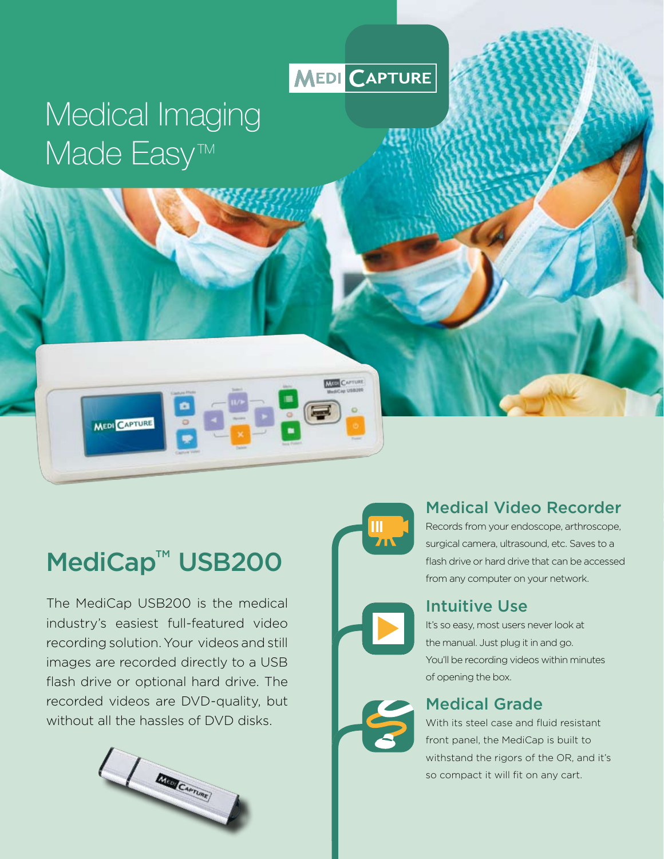## **MEDI CAPTURE**

# Medical Imaging Made Easy<sup>™</sup>

## MediCap<sup>™</sup> USB200

MEDI CAPTURE

The MediCap USB200 is the medical industry's easiest full-featured video recording solution. Your videos and still images are recorded directly to a USB flash drive or optional hard drive. The recorded videos are DVD-quality, but without all the hassles of DVD disks.



**THE CAPTUR** 

## Medical Video Recorder

Records from your endoscope, arthroscope, surgical camera, ultrasound, etc. Saves to a flash drive or hard drive that can be accessed from any computer on your network.

### Intuitive Use

It's so easy, most users never look at the manual. Just plug it in and go. You'll be recording videos within minutes of opening the box.

## Medical Grade

With its steel case and fluid resistant front panel, the MediCap is built to withstand the rigors of the OR, and it's so compact it will fit on any cart.